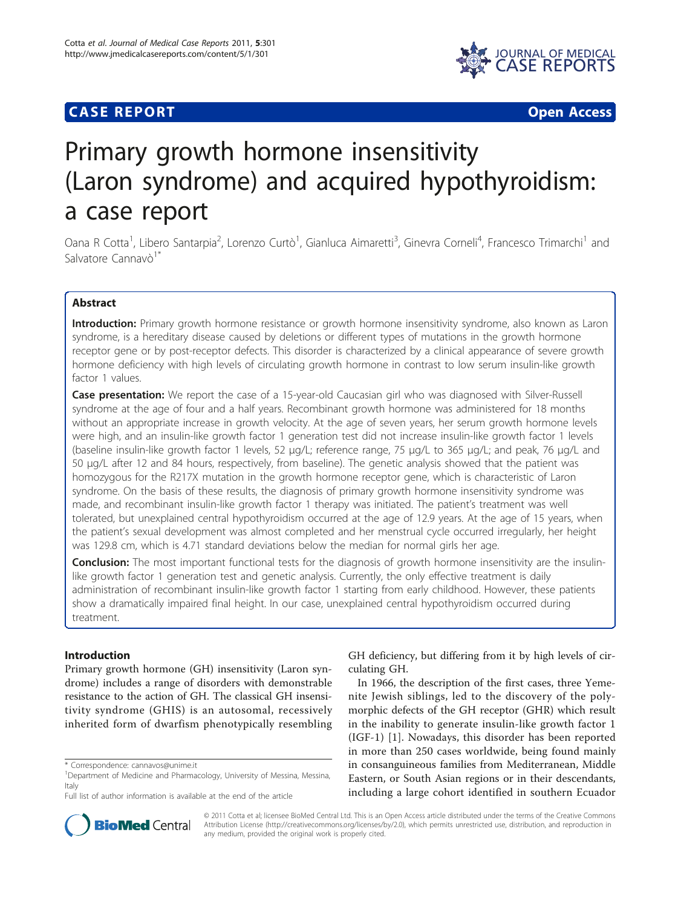# **CASE REPORT CASE REPORT CASE ACCESS**



# Primary growth hormone insensitivity (Laron syndrome) and acquired hypothyroidism: a case report

Oana R Cotta<sup>1</sup>, Libero Santarpia<sup>2</sup>, Lorenzo Curtò<sup>1</sup>, Gianluca Aimaretti<sup>3</sup>, Ginevra Corneli<sup>4</sup>, Francesco Trimarchi<sup>1</sup> and Salvatore Cannavò<sup>1\*</sup>

# Abstract

Introduction: Primary growth hormone resistance or growth hormone insensitivity syndrome, also known as Laron syndrome, is a hereditary disease caused by deletions or different types of mutations in the growth hormone receptor gene or by post-receptor defects. This disorder is characterized by a clinical appearance of severe growth hormone deficiency with high levels of circulating growth hormone in contrast to low serum insulin-like growth factor 1 values.

**Case presentation:** We report the case of a 15-year-old Caucasian girl who was diagnosed with Silver-Russell syndrome at the age of four and a half years. Recombinant growth hormone was administered for 18 months without an appropriate increase in growth velocity. At the age of seven years, her serum growth hormone levels were high, and an insulin-like growth factor 1 generation test did not increase insulin-like growth factor 1 levels (baseline insulin-like growth factor 1 levels, 52 μg/L; reference range, 75 μg/L to 365 μg/L; and peak, 76 μg/L and 50 μg/L after 12 and 84 hours, respectively, from baseline). The genetic analysis showed that the patient was homozygous for the R217X mutation in the growth hormone receptor gene, which is characteristic of Laron syndrome. On the basis of these results, the diagnosis of primary growth hormone insensitivity syndrome was made, and recombinant insulin-like growth factor 1 therapy was initiated. The patient's treatment was well tolerated, but unexplained central hypothyroidism occurred at the age of 12.9 years. At the age of 15 years, when the patient's sexual development was almost completed and her menstrual cycle occurred irregularly, her height was 129.8 cm, which is 4.71 standard deviations below the median for normal girls her age.

**Conclusion:** The most important functional tests for the diagnosis of growth hormone insensitivity are the insulinlike growth factor 1 generation test and genetic analysis. Currently, the only effective treatment is daily administration of recombinant insulin-like growth factor 1 starting from early childhood. However, these patients show a dramatically impaired final height. In our case, unexplained central hypothyroidism occurred during treatment.

# Introduction

Primary growth hormone (GH) insensitivity (Laron syndrome) includes a range of disorders with demonstrable resistance to the action of GH. The classical GH insensitivity syndrome (GHIS) is an autosomal, recessively inherited form of dwarfism phenotypically resembling



In 1966, the description of the first cases, three Yemenite Jewish siblings, led to the discovery of the polymorphic defects of the GH receptor (GHR) which result in the inability to generate insulin-like growth factor 1 (IGF-1) [[1\]](#page-4-0). Nowadays, this disorder has been reported in more than 250 cases worldwide, being found mainly in consanguineous families from Mediterranean, Middle Eastern, or South Asian regions or in their descendants, including a large cohort identified in southern Ecuador



© 2011 Cotta et al; licensee BioMed Central Ltd. This is an Open Access article distributed under the terms of the Creative Commons Attribution License [\(http://creativecommons.org/licenses/by/2.0](http://creativecommons.org/licenses/by/2.0)), which permits unrestricted use, distribution, and reproduction in any medium, provided the original work is properly cited.

<sup>\*</sup> Correspondence: [cannavos@unime.it](mailto:cannavos@unime.it)

<sup>&</sup>lt;sup>1</sup>Department of Medicine and Pharmacology, University of Messina, Messina, Italy

Full list of author information is available at the end of the article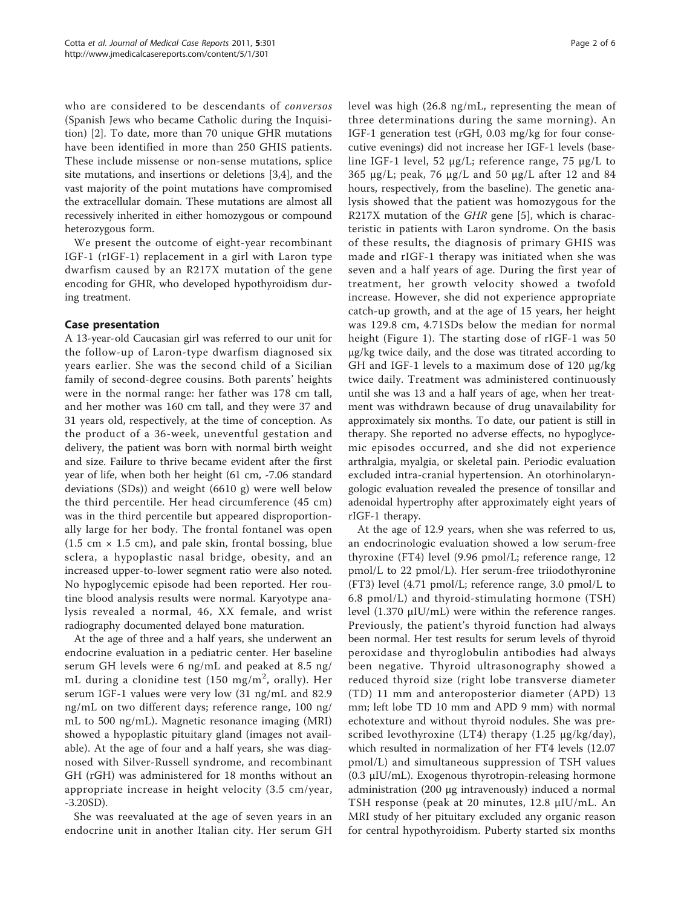who are considered to be descendants of conversos (Spanish Jews who became Catholic during the Inquisition) [[2\]](#page-4-0). To date, more than 70 unique GHR mutations have been identified in more than 250 GHIS patients. These include missense or non-sense mutations, splice site mutations, and insertions or deletions [\[3](#page-4-0),[4](#page-4-0)], and the vast majority of the point mutations have compromised the extracellular domain. These mutations are almost all recessively inherited in either homozygous or compound heterozygous form.

We present the outcome of eight-year recombinant IGF-1 (rIGF-1) replacement in a girl with Laron type dwarfism caused by an R217X mutation of the gene encoding for GHR, who developed hypothyroidism during treatment.

# Case presentation

A 13-year-old Caucasian girl was referred to our unit for the follow-up of Laron-type dwarfism diagnosed six years earlier. She was the second child of a Sicilian family of second-degree cousins. Both parents' heights were in the normal range: her father was 178 cm tall, and her mother was 160 cm tall, and they were 37 and 31 years old, respectively, at the time of conception. As the product of a 36-week, uneventful gestation and delivery, the patient was born with normal birth weight and size. Failure to thrive became evident after the first year of life, when both her height (61 cm, -7.06 standard deviations (SDs)) and weight (6610 g) were well below the third percentile. Her head circumference (45 cm) was in the third percentile but appeared disproportionally large for her body. The frontal fontanel was open  $(1.5 \text{ cm} \times 1.5 \text{ cm})$ , and pale skin, frontal bossing, blue sclera, a hypoplastic nasal bridge, obesity, and an increased upper-to-lower segment ratio were also noted. No hypoglycemic episode had been reported. Her routine blood analysis results were normal. Karyotype analysis revealed a normal, 46, XX female, and wrist radiography documented delayed bone maturation.

At the age of three and a half years, she underwent an endocrine evaluation in a pediatric center. Her baseline serum GH levels were 6 ng/mL and peaked at 8.5 ng/ mL during a clonidine test (150 mg/m<sup>2</sup>, orally). Her serum IGF-1 values were very low (31 ng/mL and 82.9 ng/mL on two different days; reference range, 100 ng/ mL to 500 ng/mL). Magnetic resonance imaging (MRI) showed a hypoplastic pituitary gland (images not available). At the age of four and a half years, she was diagnosed with Silver-Russell syndrome, and recombinant GH (rGH) was administered for 18 months without an appropriate increase in height velocity (3.5 cm/year, -3.20SD).

She was reevaluated at the age of seven years in an endocrine unit in another Italian city. Her serum GH level was high (26.8 ng/mL, representing the mean of three determinations during the same morning). An IGF-1 generation test (rGH, 0.03 mg/kg for four consecutive evenings) did not increase her IGF-1 levels (baseline IGF-1 level, 52 μg/L; reference range, 75 μg/L to 365 μg/L; peak, 76 μg/L and 50 μg/L after 12 and 84 hours, respectively, from the baseline). The genetic analysis showed that the patient was homozygous for the R217X mutation of the GHR gene [[5\]](#page-4-0), which is characteristic in patients with Laron syndrome. On the basis of these results, the diagnosis of primary GHIS was made and rIGF-1 therapy was initiated when she was seven and a half years of age. During the first year of treatment, her growth velocity showed a twofold increase. However, she did not experience appropriate catch-up growth, and at the age of 15 years, her height was 129.8 cm, 4.71SDs below the median for normal height (Figure [1\)](#page-2-0). The starting dose of rIGF-1 was 50 μg/kg twice daily, and the dose was titrated according to GH and IGF-1 levels to a maximum dose of 120 μg/kg twice daily. Treatment was administered continuously until she was 13 and a half years of age, when her treatment was withdrawn because of drug unavailability for approximately six months. To date, our patient is still in therapy. She reported no adverse effects, no hypoglycemic episodes occurred, and she did not experience arthralgia, myalgia, or skeletal pain. Periodic evaluation excluded intra-cranial hypertension. An otorhinolaryngologic evaluation revealed the presence of tonsillar and adenoidal hypertrophy after approximately eight years of rIGF-1 therapy.

At the age of 12.9 years, when she was referred to us, an endocrinologic evaluation showed a low serum-free thyroxine (FT4) level (9.96 pmol/L; reference range, 12 pmol/L to 22 pmol/L). Her serum-free triiodothyronine (FT3) level (4.71 pmol/L; reference range, 3.0 pmol/L to 6.8 pmol/L) and thyroid-stimulating hormone (TSH) level (1.370 μIU/mL) were within the reference ranges. Previously, the patient's thyroid function had always been normal. Her test results for serum levels of thyroid peroxidase and thyroglobulin antibodies had always been negative. Thyroid ultrasonography showed a reduced thyroid size (right lobe transverse diameter (TD) 11 mm and anteroposterior diameter (APD) 13 mm; left lobe TD 10 mm and APD 9 mm) with normal echotexture and without thyroid nodules. She was prescribed levothyroxine (LT4) therapy  $(1.25 \mu g/kg/day)$ , which resulted in normalization of her FT4 levels (12.07 pmol/L) and simultaneous suppression of TSH values (0.3 μIU/mL). Exogenous thyrotropin-releasing hormone administration (200 μg intravenously) induced a normal TSH response (peak at 20 minutes, 12.8 μIU/mL. An MRI study of her pituitary excluded any organic reason for central hypothyroidism. Puberty started six months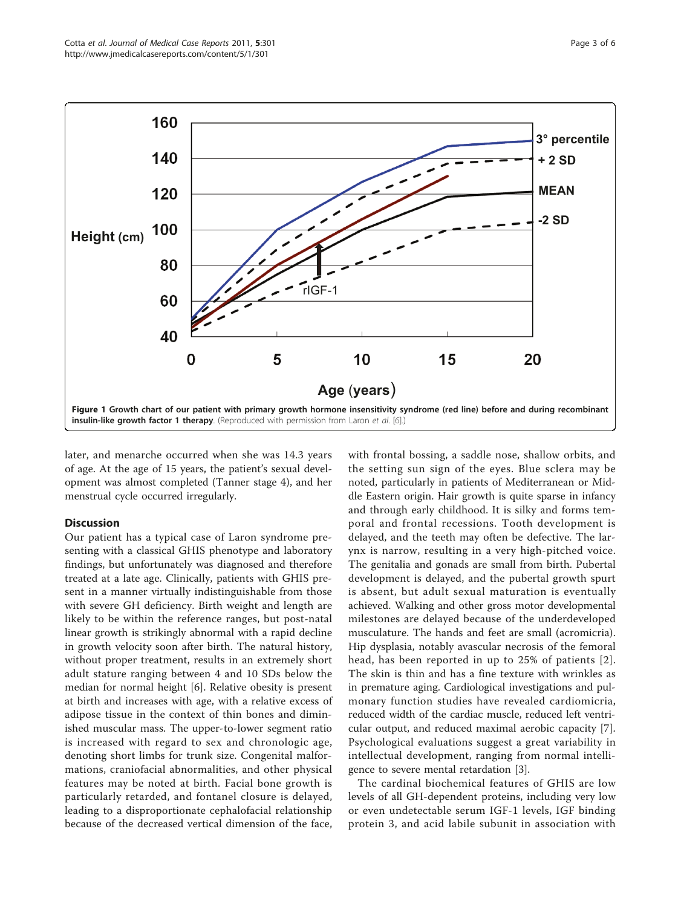<span id="page-2-0"></span>

later, and menarche occurred when she was 14.3 years of age. At the age of 15 years, the patient's sexual development was almost completed (Tanner stage 4), and her menstrual cycle occurred irregularly.

#### **Discussion**

Our patient has a typical case of Laron syndrome presenting with a classical GHIS phenotype and laboratory findings, but unfortunately was diagnosed and therefore treated at a late age. Clinically, patients with GHIS present in a manner virtually indistinguishable from those with severe GH deficiency. Birth weight and length are likely to be within the reference ranges, but post-natal linear growth is strikingly abnormal with a rapid decline in growth velocity soon after birth. The natural history, without proper treatment, results in an extremely short adult stature ranging between 4 and 10 SDs below the median for normal height [[6\]](#page-4-0). Relative obesity is present at birth and increases with age, with a relative excess of adipose tissue in the context of thin bones and diminished muscular mass. The upper-to-lower segment ratio is increased with regard to sex and chronologic age, denoting short limbs for trunk size. Congenital malformations, craniofacial abnormalities, and other physical features may be noted at birth. Facial bone growth is particularly retarded, and fontanel closure is delayed, leading to a disproportionate cephalofacial relationship because of the decreased vertical dimension of the face, with frontal bossing, a saddle nose, shallow orbits, and the setting sun sign of the eyes. Blue sclera may be noted, particularly in patients of Mediterranean or Middle Eastern origin. Hair growth is quite sparse in infancy and through early childhood. It is silky and forms temporal and frontal recessions. Tooth development is delayed, and the teeth may often be defective. The larynx is narrow, resulting in a very high-pitched voice. The genitalia and gonads are small from birth. Pubertal development is delayed, and the pubertal growth spurt is absent, but adult sexual maturation is eventually achieved. Walking and other gross motor developmental milestones are delayed because of the underdeveloped musculature. The hands and feet are small (acromicria). Hip dysplasia, notably avascular necrosis of the femoral head, has been reported in up to 25% of patients [[2\]](#page-4-0). The skin is thin and has a fine texture with wrinkles as in premature aging. Cardiological investigations and pulmonary function studies have revealed cardiomicria, reduced width of the cardiac muscle, reduced left ventricular output, and reduced maximal aerobic capacity [\[7](#page-4-0)]. Psychological evaluations suggest a great variability in intellectual development, ranging from normal intelligence to severe mental retardation [\[3](#page-4-0)].

The cardinal biochemical features of GHIS are low levels of all GH-dependent proteins, including very low or even undetectable serum IGF-1 levels, IGF binding protein 3, and acid labile subunit in association with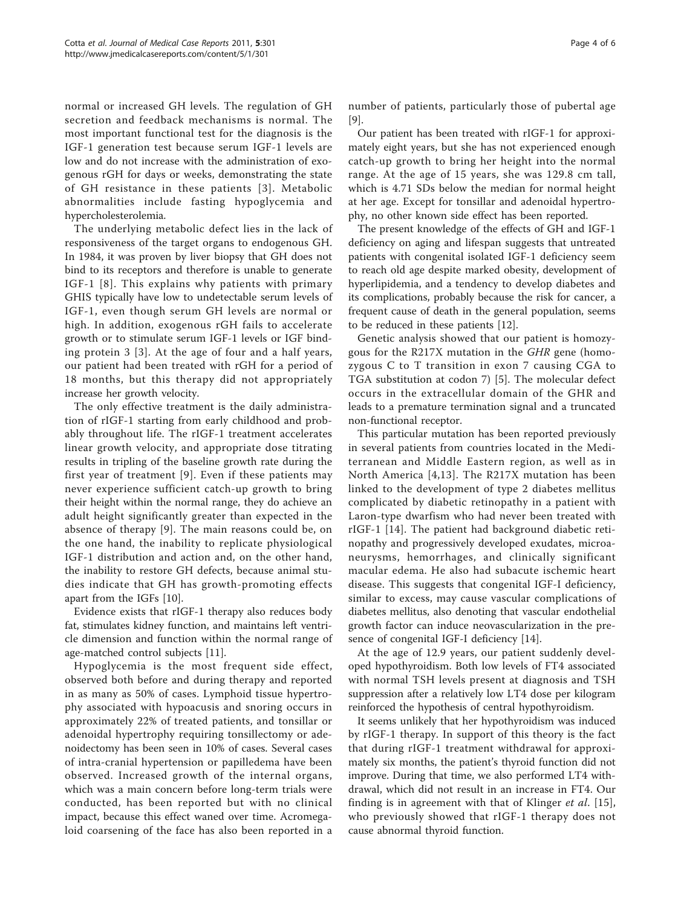normal or increased GH levels. The regulation of GH secretion and feedback mechanisms is normal. The most important functional test for the diagnosis is the IGF-1 generation test because serum IGF-1 levels are low and do not increase with the administration of exogenous rGH for days or weeks, demonstrating the state of GH resistance in these patients [[3\]](#page-4-0). Metabolic abnormalities include fasting hypoglycemia and hypercholesterolemia.

The underlying metabolic defect lies in the lack of responsiveness of the target organs to endogenous GH. In 1984, it was proven by liver biopsy that GH does not bind to its receptors and therefore is unable to generate IGF-1 [[8\]](#page-4-0). This explains why patients with primary GHIS typically have low to undetectable serum levels of IGF-1, even though serum GH levels are normal or high. In addition, exogenous rGH fails to accelerate growth or to stimulate serum IGF-1 levels or IGF binding protein 3 [[3](#page-4-0)]. At the age of four and a half years, our patient had been treated with rGH for a period of 18 months, but this therapy did not appropriately increase her growth velocity.

The only effective treatment is the daily administration of rIGF-1 starting from early childhood and probably throughout life. The rIGF-1 treatment accelerates linear growth velocity, and appropriate dose titrating results in tripling of the baseline growth rate during the first year of treatment [[9\]](#page-4-0). Even if these patients may never experience sufficient catch-up growth to bring their height within the normal range, they do achieve an adult height significantly greater than expected in the absence of therapy [\[9](#page-4-0)]. The main reasons could be, on the one hand, the inability to replicate physiological IGF-1 distribution and action and, on the other hand, the inability to restore GH defects, because animal studies indicate that GH has growth-promoting effects apart from the IGFs [\[10](#page-4-0)].

Evidence exists that rIGF-1 therapy also reduces body fat, stimulates kidney function, and maintains left ventricle dimension and function within the normal range of age-matched control subjects [[11\]](#page-4-0).

Hypoglycemia is the most frequent side effect, observed both before and during therapy and reported in as many as 50% of cases. Lymphoid tissue hypertrophy associated with hypoacusis and snoring occurs in approximately 22% of treated patients, and tonsillar or adenoidal hypertrophy requiring tonsillectomy or adenoidectomy has been seen in 10% of cases. Several cases of intra-cranial hypertension or papilledema have been observed. Increased growth of the internal organs, which was a main concern before long-term trials were conducted, has been reported but with no clinical impact, because this effect waned over time. Acromegaloid coarsening of the face has also been reported in a number of patients, particularly those of pubertal age

Our patient has been treated with rIGF-1 for approximately eight years, but she has not experienced enough catch-up growth to bring her height into the normal range. At the age of 15 years, she was 129.8 cm tall, which is 4.71 SDs below the median for normal height at her age. Except for tonsillar and adenoidal hypertrophy, no other known side effect has been reported.

[[9\]](#page-4-0).

The present knowledge of the effects of GH and IGF-1 deficiency on aging and lifespan suggests that untreated patients with congenital isolated IGF-1 deficiency seem to reach old age despite marked obesity, development of hyperlipidemia, and a tendency to develop diabetes and its complications, probably because the risk for cancer, a frequent cause of death in the general population, seems to be reduced in these patients [\[12](#page-4-0)].

Genetic analysis showed that our patient is homozygous for the R217X mutation in the GHR gene (homozygous C to T transition in exon 7 causing CGA to TGA substitution at codon 7) [[5\]](#page-4-0). The molecular defect occurs in the extracellular domain of the GHR and leads to a premature termination signal and a truncated non-functional receptor.

This particular mutation has been reported previously in several patients from countries located in the Mediterranean and Middle Eastern region, as well as in North America [[4,13](#page-4-0)]. The R217X mutation has been linked to the development of type 2 diabetes mellitus complicated by diabetic retinopathy in a patient with Laron-type dwarfism who had never been treated with rIGF-1 [[14](#page-4-0)]. The patient had background diabetic retinopathy and progressively developed exudates, microaneurysms, hemorrhages, and clinically significant macular edema. He also had subacute ischemic heart disease. This suggests that congenital IGF-I deficiency, similar to excess, may cause vascular complications of diabetes mellitus, also denoting that vascular endothelial growth factor can induce neovascularization in the presence of congenital IGF-I deficiency [[14\]](#page-4-0).

At the age of 12.9 years, our patient suddenly developed hypothyroidism. Both low levels of FT4 associated with normal TSH levels present at diagnosis and TSH suppression after a relatively low LT4 dose per kilogram reinforced the hypothesis of central hypothyroidism.

It seems unlikely that her hypothyroidism was induced by rIGF-1 therapy. In support of this theory is the fact that during rIGF-1 treatment withdrawal for approximately six months, the patient's thyroid function did not improve. During that time, we also performed LT4 withdrawal, which did not result in an increase in FT4. Our finding is in agreement with that of Klinger et al. [[15](#page-5-0)], who previously showed that rIGF-1 therapy does not cause abnormal thyroid function.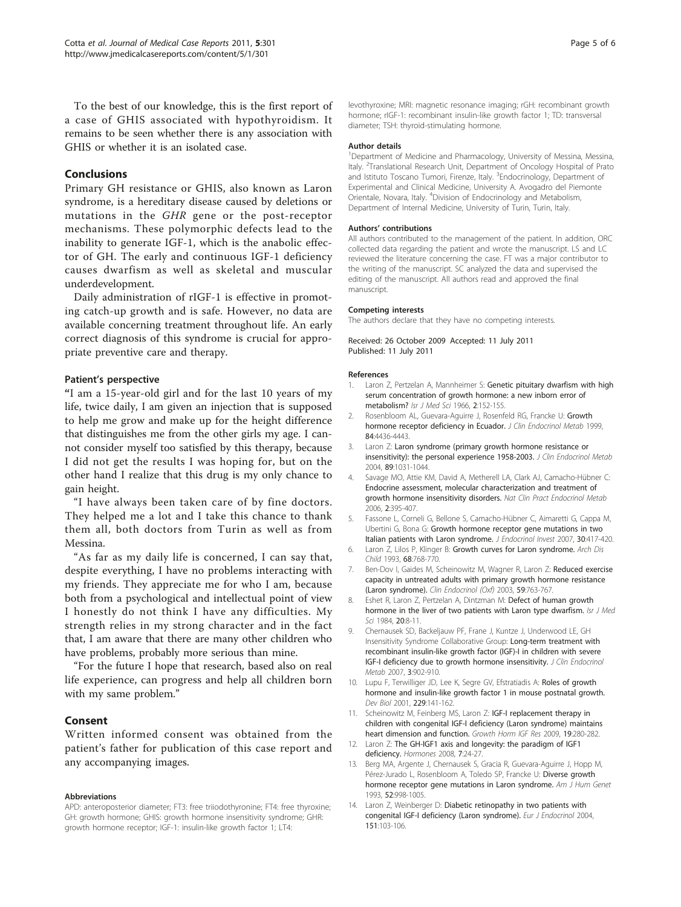<span id="page-4-0"></span>To the best of our knowledge, this is the first report of a case of GHIS associated with hypothyroidism. It remains to be seen whether there is any association with GHIS or whether it is an isolated case.

### Conclusions

Primary GH resistance or GHIS, also known as Laron syndrome, is a hereditary disease caused by deletions or mutations in the GHR gene or the post-receptor mechanisms. These polymorphic defects lead to the inability to generate IGF-1, which is the anabolic effector of GH. The early and continuous IGF-1 deficiency causes dwarfism as well as skeletal and muscular underdevelopment.

Daily administration of rIGF-1 is effective in promoting catch-up growth and is safe. However, no data are available concerning treatment throughout life. An early correct diagnosis of this syndrome is crucial for appropriate preventive care and therapy.

#### Patient's perspective

"I am a 15-year-old girl and for the last 10 years of my life, twice daily, I am given an injection that is supposed to help me grow and make up for the height difference that distinguishes me from the other girls my age. I cannot consider myself too satisfied by this therapy, because I did not get the results I was hoping for, but on the other hand I realize that this drug is my only chance to gain height.

"I have always been taken care of by fine doctors. They helped me a lot and I take this chance to thank them all, both doctors from Turin as well as from Messina.

"As far as my daily life is concerned, I can say that, despite everything, I have no problems interacting with my friends. They appreciate me for who I am, because both from a psychological and intellectual point of view I honestly do not think I have any difficulties. My strength relies in my strong character and in the fact that, I am aware that there are many other children who have problems, probably more serious than mine.

"For the future I hope that research, based also on real life experience, can progress and help all children born with my same problem."

### Consent

Written informed consent was obtained from the patient's father for publication of this case report and any accompanying images.

#### Abbreviations

levothyroxine; MRI: magnetic resonance imaging; rGH: recombinant growth hormone; rIGF-1: recombinant insulin-like growth factor 1; TD: transversal diameter; TSH: thyroid-stimulating hormone.

#### Author details

<sup>1</sup>Department of Medicine and Pharmacology, University of Messina, Messina, Italy. <sup>2</sup>Translational Research Unit, Department of Oncology Hospital of Prato and Istituto Toscano Tumori, Firenze, Italy. <sup>3</sup>Endocrinology, Department of Experimental and Clinical Medicine, University A. Avogadro del Piemonte Orientale, Novara, Italy. <sup>4</sup> Division of Endocrinology and Metabolism, Department of Internal Medicine, University of Turin, Turin, Italy.

#### Authors' contributions

All authors contributed to the management of the patient. In addition, ORC collected data regarding the patient and wrote the manuscript. LS and LC reviewed the literature concerning the case. FT was a major contributor to the writing of the manuscript. SC analyzed the data and supervised the editing of the manuscript. All authors read and approved the final manuscript.

#### Competing interests

The authors declare that they have no competing interests.

Received: 26 October 2009 Accepted: 11 July 2011 Published: 11 July 2011

#### References

- Laron Z, Pertzelan A, Mannheimer S: [Genetic pituitary dwarfism with high](http://www.ncbi.nlm.nih.gov/pubmed/5916640?dopt=Abstract) [serum concentration of growth hormone: a new inborn error of](http://www.ncbi.nlm.nih.gov/pubmed/5916640?dopt=Abstract) [metabolism?](http://www.ncbi.nlm.nih.gov/pubmed/5916640?dopt=Abstract) Isr J Med Sci 1966, 2:152-155.
- 2. Rosenbloom AL, Guevara-Aguirre J, Rosenfeld RG, Francke U: [Growth](http://www.ncbi.nlm.nih.gov/pubmed/10599699?dopt=Abstract) [hormone receptor deficiency in Ecuador.](http://www.ncbi.nlm.nih.gov/pubmed/10599699?dopt=Abstract) J Clin Endocrinol Metab 1999, 84:4436-4443.
- 3. Laron Z: [Laron syndrome \(primary growth hormone resistance or](http://www.ncbi.nlm.nih.gov/pubmed/15001582?dopt=Abstract) [insensitivity\): the personal experience 1958-2003.](http://www.ncbi.nlm.nih.gov/pubmed/15001582?dopt=Abstract) J Clin Endocrinol Metab 2004, 89:1031-1044.
- 4. Savage MO, Attie KM, David A, Metherell LA, Clark AJ, Camacho-Hübner C: [Endocrine assessment, molecular characterization and treatment of](http://www.ncbi.nlm.nih.gov/pubmed/16932322?dopt=Abstract) [growth hormone insensitivity disorders.](http://www.ncbi.nlm.nih.gov/pubmed/16932322?dopt=Abstract) Nat Clin Pract Endocrinol Metab 2006, 2:395-407.
- 5. Fassone L, Corneli G, Bellone S, Camacho-Hübner C, Aimaretti G, Cappa M, Ubertini G, Bona G: [Growth hormone receptor gene mutations in two](http://www.ncbi.nlm.nih.gov/pubmed/17598975?dopt=Abstract) [Italian patients with Laron syndrome.](http://www.ncbi.nlm.nih.gov/pubmed/17598975?dopt=Abstract) J Endocrinol Invest 2007, 30:417-420.
- Laron Z, Lilos P, Klinger B: [Growth curves for Laron syndrome.](http://www.ncbi.nlm.nih.gov/pubmed/8333769?dopt=Abstract) Arch Dis Child 1993, 68:768-770.
- 7. Ben-Dov I, Gaides M, Scheinowitz M, Wagner R, Laron Z: Reduced exercise capacity in untreated adults with primary growth hormone resistance (Laron syndrome). Clin Endocrinol (Oxf) 2003, 59:763-767.
- 8. Eshet R, Laron Z, Pertzelan A, Dintzman M: [Defect of human growth](http://www.ncbi.nlm.nih.gov/pubmed/6321400?dopt=Abstract) [hormone in the liver of two patients with Laron type dwarfism.](http://www.ncbi.nlm.nih.gov/pubmed/6321400?dopt=Abstract) Isr J Med Sci 1984, 20:8-11.
- 9. Chernausek SD, Backeljauw PF, Frane J, Kuntze J, Underwood LE, GH Insensitivity Syndrome Collaborative Group: Long-term treatment with recombinant insulin-like growth factor (IGF)-I in children with severe IGF-I deficiency due to growth hormone insensitivity. J Clin Endocrinol Metab 2007, 3:902-910.
- 10. Lupu F, Terwilliger JD, Lee K, Segre GV, Efstratiadis A: [Roles of growth](http://www.ncbi.nlm.nih.gov/pubmed/11133160?dopt=Abstract) [hormone and insulin-like growth factor 1 in mouse postnatal growth.](http://www.ncbi.nlm.nih.gov/pubmed/11133160?dopt=Abstract) Dev Biol 2001, 229:141-162.
- 11. Scheinowitz M, Feinberg MS, Laron Z: [IGF-I replacement therapy in](http://www.ncbi.nlm.nih.gov/pubmed/19117781?dopt=Abstract) [children with congenital IGF-I deficiency \(Laron syndrome\) maintains](http://www.ncbi.nlm.nih.gov/pubmed/19117781?dopt=Abstract) [heart dimension and function.](http://www.ncbi.nlm.nih.gov/pubmed/19117781?dopt=Abstract) Growth Horm IGF Res 2009, 19:280-282.
- 12. Laron Z: [The GH-IGF1 axis and longevity: the paradigm of IGF1](http://www.ncbi.nlm.nih.gov/pubmed/18359741?dopt=Abstract) [deficiency.](http://www.ncbi.nlm.nih.gov/pubmed/18359741?dopt=Abstract) Hormones 2008, 7:24-27.
- 13. Berg MA, Argente J, Chernausek S, Gracia R, Guevara-Aguirre J, Hopp M, Pérez-Jurado L, Rosenbloom A, Toledo SP, Francke U: [Diverse growth](http://www.ncbi.nlm.nih.gov/pubmed/8488849?dopt=Abstract) [hormone receptor gene mutations in Laron syndrome.](http://www.ncbi.nlm.nih.gov/pubmed/8488849?dopt=Abstract) Am J Hum Genet 1993, 52:998-1005.
- 14. Laron Z, Weinberger D: [Diabetic retinopathy in two patients with](http://www.ncbi.nlm.nih.gov/pubmed/15248828?dopt=Abstract) [congenital IGF-I deficiency \(Laron syndrome\).](http://www.ncbi.nlm.nih.gov/pubmed/15248828?dopt=Abstract) Eur J Endocrinol 2004, 151:103-106.

APD: anteroposterior diameter; FT3: free triiodothyronine; FT4: free thyroxine; GH: growth hormone; GHIS: growth hormone insensitivity syndrome; GHR: growth hormone receptor; IGF-1: insulin-like growth factor 1; LT4: